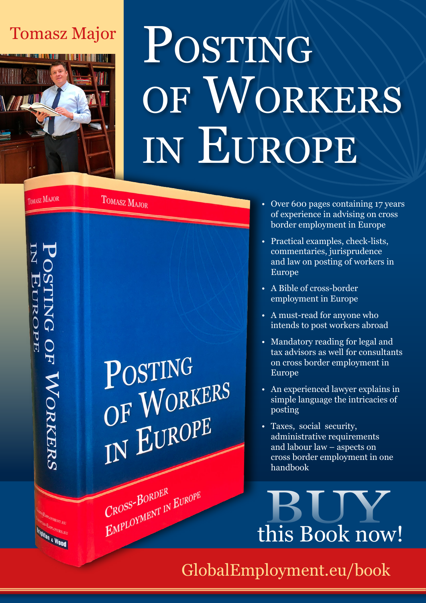## Tomasz Major



# POSTING of Workers in Europe

**TOMASZ MAJOR** 

**Brighton & Wood** 

TOMASZ MAJOR



- Over 600 pages containing 17 years of experience in advising on cross border employment in Europe
- Practical examples, check-lists, commentaries, jurisprudence and law on posting of workers in Europe
- A Bible of cross-border employment in Europe
- A must-read for anyone who intends to post workers abroad
- Mandatory reading for legal and tax advisors as well for consultants on cross border employment in Europe
- An experienced lawyer explains in simple language the intricacies of posting
- Taxes, social security, administrative requirements and labour law – aspects on cross border employment in one handbook



[GlobalEmployment.eu/book](http://GlobalEmployment.eu/book)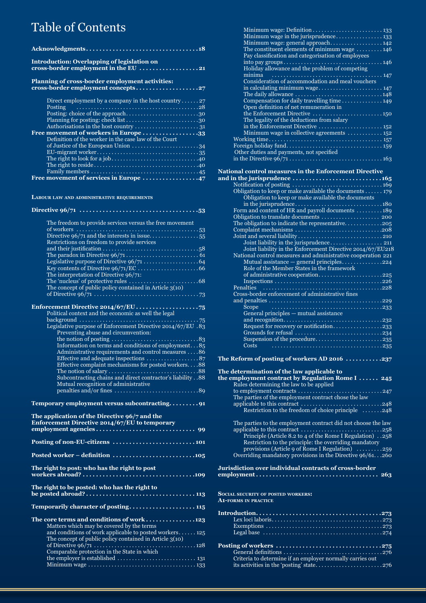## Table of Contents

| <b>Introduction: Overlapping of legislation on</b>                                             |  |
|------------------------------------------------------------------------------------------------|--|
| cross-border employment in the EU 21                                                           |  |
| Planning of cross-border employment activities:                                                |  |
|                                                                                                |  |
|                                                                                                |  |
| Direct employment by a company in the host country 27                                          |  |
| <b>Posting</b>                                                                                 |  |
| Posting: choice of the approach30                                                              |  |
|                                                                                                |  |
|                                                                                                |  |
| Free movement of workers in Europe 33<br>Definition of the worker in the case law of the Court |  |
| of Justice of the European Union 34                                                            |  |
|                                                                                                |  |
|                                                                                                |  |
|                                                                                                |  |
|                                                                                                |  |
|                                                                                                |  |
|                                                                                                |  |
|                                                                                                |  |
| LABOUR LAW AND ADMINISTRATIVE REQUIREMENTS                                                     |  |
|                                                                                                |  |
|                                                                                                |  |
| The freedom to provide services versus the free movement                                       |  |
|                                                                                                |  |
|                                                                                                |  |
| Restrictions on freedom to provide services                                                    |  |
|                                                                                                |  |
|                                                                                                |  |
|                                                                                                |  |
|                                                                                                |  |
| The interpretation of Directive 96/71:                                                         |  |
| The concept of public policy contained in Article $3(10)$                                      |  |
|                                                                                                |  |
|                                                                                                |  |
|                                                                                                |  |
|                                                                                                |  |
|                                                                                                |  |
| Legislative purpose of Enforcement Directive 2014/67/EU .83                                    |  |
| Preventing abuse and circumvention:                                                            |  |
|                                                                                                |  |
|                                                                                                |  |
| Administrative requirements and control measures 86                                            |  |
| Effective and adequate inspections $\dots\dots\dots\dots\dots 87$                              |  |
| Effective complaint mechanisms for posted workers88                                            |  |
|                                                                                                |  |
| Subcontracting chains and direct contractor's liability 88                                     |  |
|                                                                                                |  |
|                                                                                                |  |
| Temporary employment versus subcontracting91                                                   |  |

| The application of the Directive 96/7 and the<br><b>Enforcement Directive 2014/67/EU to temporary</b>                  |
|------------------------------------------------------------------------------------------------------------------------|
|                                                                                                                        |
|                                                                                                                        |
| Posted worker – definition $\ldots \ldots \ldots \ldots \ldots \ldots \ldots \ldots \ldots \ldots$                     |
| The right to post: who has the right to post                                                                           |
| The right to be posted: who has the right to                                                                           |
| Temporarily character of posting 115                                                                                   |
| The core terms and conditions of work $\ldots \ldots \ldots \ldots 123$<br>Matters which may be covered by the terms   |
| and conditions of work applicable to posted workers $125$<br>The concept of public policy contained in Article $3(10)$ |
| Comparable protection in the State in which                                                                            |
| the employer is established $\ldots \ldots \ldots \ldots \ldots \ldots \ldots \ldots$ 131                              |
|                                                                                                                        |

| Minimum wage in the jurisprudence 133                                |  |
|----------------------------------------------------------------------|--|
| Minimum wage: general approach 142                                   |  |
| The constituent elements of minimum wage $\dots \dots \dots 146$     |  |
| Pay classification and categorisation of employees                   |  |
|                                                                      |  |
| Holiday allowance and the problem of competing                       |  |
| minima                                                               |  |
| Consideration of accommodation and meal vouchers                     |  |
| in calculating minimum wage 147                                      |  |
|                                                                      |  |
| Compensation for daily travelling time 149                           |  |
|                                                                      |  |
| Open definition of net remuneration in                               |  |
|                                                                      |  |
| The legality of the deductions from salary                           |  |
| in the Enforcement Directive  152                                    |  |
| Minimum wage in collective agreements $\dots\dots\dots\dots$ 152     |  |
|                                                                      |  |
|                                                                      |  |
| Other duties and payments, not specified                             |  |
|                                                                      |  |
|                                                                      |  |
| <b>National control measures in the Enforcement Directive</b>        |  |
|                                                                      |  |
|                                                                      |  |
| Obligation to keep or make available the documents $\dots \dots$ 179 |  |
|                                                                      |  |

| Obligation to keep or make available the documents $\ldots$ 179  |  |
|------------------------------------------------------------------|--|
| Obligation to keep or make available the documents               |  |
|                                                                  |  |
| Form and content of HR and payroll documents 189                 |  |
| Obligation to translate documents  200                           |  |
|                                                                  |  |
|                                                                  |  |
|                                                                  |  |
|                                                                  |  |
| Joint liability in the Enforcement Directive 2014/67/EU218       |  |
| National control measures and administrative cooperation 221     |  |
| Mutual assistance $-$ general principles224                      |  |
| Role of the Member States in the framework                       |  |
| of administrative cooperation225                                 |  |
|                                                                  |  |
|                                                                  |  |
| Cross-border enforcement of administrative fines                 |  |
|                                                                  |  |
|                                                                  |  |
| General principles - mutual assistance                           |  |
|                                                                  |  |
| Request for recovery or notification233                          |  |
|                                                                  |  |
| Suspension of the procedure235                                   |  |
| <b>Costs</b>                                                     |  |
|                                                                  |  |
| The Reform of posting of workers AD 2016 $\dots\dots\dots237$    |  |
|                                                                  |  |
| The determination of the law applicable to                       |  |
| the employment contract by Regulation Rome I  245                |  |
| Rules determining the law to be applied                          |  |
|                                                                  |  |
| The parties of the employment contract chose the law             |  |
|                                                                  |  |
| Restriction to the freedom of choice principle $\dots \dots 248$ |  |
|                                                                  |  |
| The parties to the employment contract did not choose the law    |  |
|                                                                  |  |

| The parties to the employment contract did not choose the law       |  |
|---------------------------------------------------------------------|--|
|                                                                     |  |
| 258. Principle (Article 8.2 to 4 of the Rome I Regulation).         |  |
| Restriction to the principle: the overriding mandatory              |  |
| provisions (Article 9 of Rome I Regulation) $\dots \dots \dots 259$ |  |
| Overriding mandatory provisions in the Directive 96/61260           |  |
|                                                                     |  |

#### **Jurisdiction over individual contracts of cross-border**

**employment . . . . . . . . . . . . . . . . . . . . . . . . . . . . . . . . . . . . . 263**

**Social security of posted workers:** 

**A1-forms in practice**

| Criteria to determine if an employer normally carries out |  |
|-----------------------------------------------------------|--|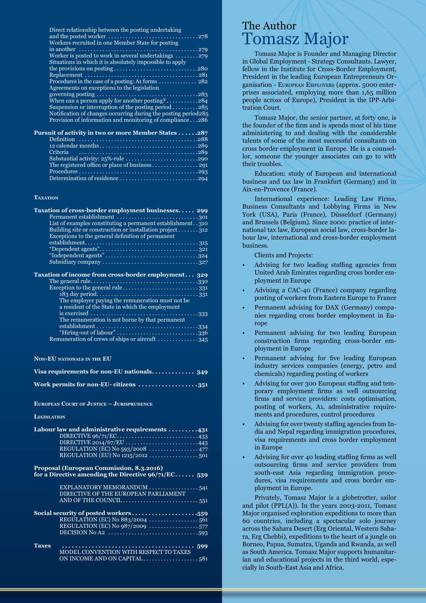Direct relationship between the posting undertaking

| Workers recruited in one Member State for posting                                                              |
|----------------------------------------------------------------------------------------------------------------|
|                                                                                                                |
| Worker is posted to work in several undertakings $\dots \dots \dots$                                           |
| Situations in which it is absolutely impossible to apply                                                       |
|                                                                                                                |
|                                                                                                                |
| Procedures in the case of a posting: At forms $\dots\dots\dots\dots$ 282                                       |
| Agreements on exceptions to the legislation                                                                    |
| governing posting $\ldots \ldots \ldots \ldots \ldots \ldots \ldots \ldots \ldots \ldots \ldots \ldots \ldots$ |
| When can a person apply for another posting?284                                                                |
| Suspension or interruption of the posting period $\ldots \ldots \ldots 285$                                    |
| Notification of changes occurring during the posting period 285                                                |
| Provision of information and monitoring of compliance286                                                       |
|                                                                                                                |
| .                                                                                                              |

| <b>Pursuit of activity in two or more Member States287</b> |  |
|------------------------------------------------------------|--|
|                                                            |  |
|                                                            |  |
|                                                            |  |
|                                                            |  |
|                                                            |  |
|                                                            |  |
|                                                            |  |

#### **Taxation**

| Taxation of cross-border employment businesses 299                          |
|-----------------------------------------------------------------------------|
|                                                                             |
| List of examples constituting a permanent establishment310                  |
| Building site or construction or installation project 312                   |
| Exceptions to the general definition of permanent                           |
|                                                                             |
|                                                                             |
|                                                                             |
|                                                                             |
| Taxation of income from cross-border employment 329                         |
|                                                                             |
|                                                                             |
|                                                                             |
|                                                                             |
| The employer paying the remuneration must not be.                           |
| a resident of the State in which the employment                             |
|                                                                             |
|                                                                             |
| The remuneration is not borne by that permanent                             |
| "Hiring-out of labour"336<br>Remuneration of crews of ships or aircraft 345 |

#### **Non-EU nationals in the EU**

| Visa requirements for non-EU nationals 349 |  |
|--------------------------------------------|--|
| Work permits for non-EU- citizens 351      |  |

#### **European Court of Justice – Jurisprudence**

#### **Legislation**

|                                                       | Labour law and administrative requirements 431                                |  |
|-------------------------------------------------------|-------------------------------------------------------------------------------|--|
|                                                       |                                                                               |  |
|                                                       |                                                                               |  |
|                                                       |                                                                               |  |
|                                                       | REGULATION (EU) No $1215/2012$ . $\ldots$ 501                                 |  |
|                                                       | Proposal (European Commission, 8.3.2016)                                      |  |
| for a Directive amending the Directive $96/71/EC$ 539 |                                                                               |  |
|                                                       |                                                                               |  |
|                                                       | DIRECTIVE OF THE EUROPEAN PARLIAMENT                                          |  |
|                                                       |                                                                               |  |
| Social security of posted workers559                  |                                                                               |  |
|                                                       |                                                                               |  |
|                                                       |                                                                               |  |
|                                                       | DECISION No A2 $\dots\dots\dots\dots\dots\dots\dots\dots\dots\dots\dots\dots$ |  |
| <b>Taxes</b>                                          |                                                                               |  |
|                                                       | MODEL CONVENTION WITH RESPECT TO TAXES                                        |  |
|                                                       |                                                                               |  |

### The Author Tomasz Major

Tomasz Major is Founder and Managing Director in Global Employment - Strategy Consultants. Lawyer, fellow in the Institute for Cross-Border Employment, President in the leading European Entrepreneurs Organisation - European Employers (approx. 5000 enterprises associated, employing more than 1,65 million people across of Europe), President in the IPP-Arbitration Court.

Tomasz Major, the senior partner, at forty one, is the founder of the firm and is spends most of his time administering to and dealing with the considerable talents of some of the most successful consultants on cross border employment in Europe. He is a counsellor, someone the younger associates can go to with their troubles.

Education: study of European and international business and tax law in Frankfurt (Germany) and in Aix-en-Provence (France).

International experience: Leading Law Firms, Business Consultants and Lobbying Firms in New York (USA), Paris (France), Düsseldorf (Germany) and Brussels (Belgium). Since 2000: practice of international tax law, European social law, cross-border labour law, international and cross-border employment business.

Clients and Projects:

- Advising for two leading staffing agencies from United Arab Emirates regarding cross border employment in Europe
- Advising a CAC-40 (France) company regarding posting of workers from Eastern Europe to France
- Permanent advising for DAX (Germany) companies regarding cross border employment in Europe
- Permanent advising for two leading European construction firms regarding cross-border employment in Europe
- Permanent advising for five leading European industry services companies (energy, petro and chemicals) regarding posting of workers
- Advising for over 300 European staffing and temporary employment firms as well outsourcing firms and service providers: costs optimisation, posting of workers, A1, administrative requirements and procedures, control procedures
- Advising for over twenty staffing agencies from India and Nepal regarding immigration procedures, visa requirements and cross border employment in Europe
- Advising for over 40 leading staffing firms as well outsourcing firms and service providers from south-east Asia regarding immigration procedures, visa requirements and cross border employment in Europe.

Privately, Tomasz Major is a globetrotter, sailor and pilot (PPL(A)). In the years 2003-2011, Tomasz Major organised exploration expeditions to more than 60 countries, including a spectacular solo journey across the Sahara Desert (Erg Oriental, Western Sahara, Erg Chebbi), expeditions to the heart of a jungle on Borneo, Papua, Sumatra, Uganda and Rwanda, as well as South America. Tomasz Major supports humanitarian and educational projects in the third world, especially in South-East Asia and Africa.